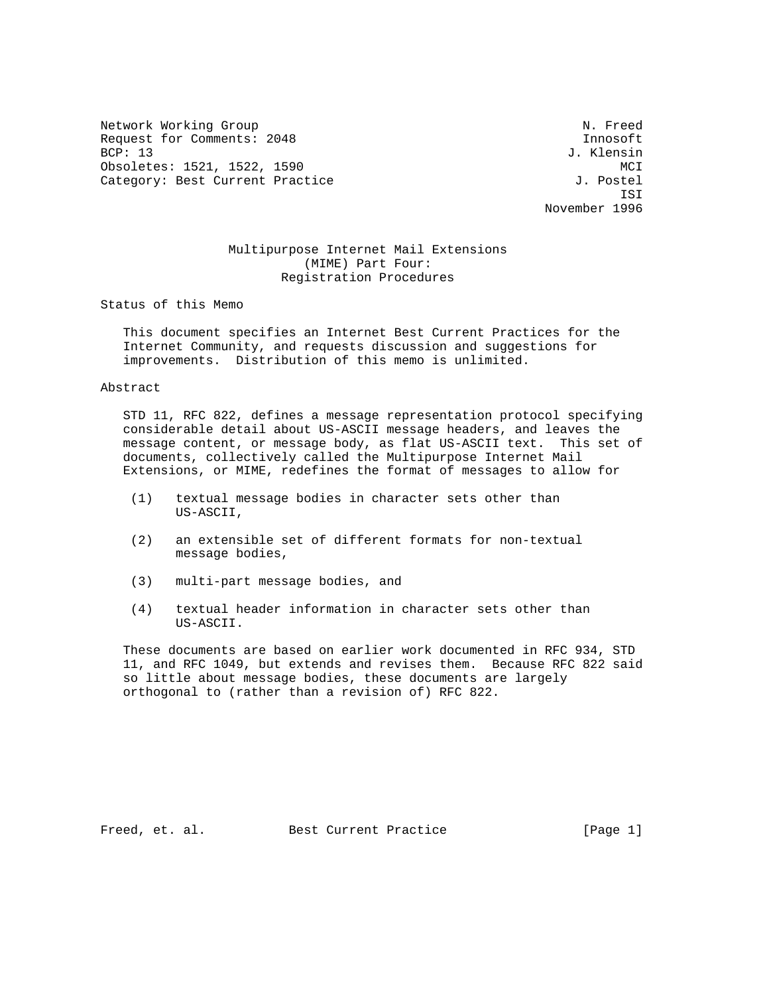Network Working Group Network Working Group Network Network Network Network Network Network Network Network Ne Request for Comments: 2048 Innosoft [13] Innosoft [13] Innosoft [13] Innosoft [13] Innosoft [13] Innosoft [13] Innosoft [13] Innosoft [13] Innosoft [13] Innosoft [13] Innosoft [13] Innosoft [13] Innosoft [13] Innosoft [13] Obsoletes: 1521, 1522, 1590 MCI Category: Best Current Practice  $J.$  Postel

J. Klensin ISI November 1996

# Multipurpose Internet Mail Extensions (MIME) Part Four: Registration Procedures

Status of this Memo

 This document specifies an Internet Best Current Practices for the Internet Community, and requests discussion and suggestions for improvements. Distribution of this memo is unlimited.

### Abstract

 STD 11, RFC 822, defines a message representation protocol specifying considerable detail about US-ASCII message headers, and leaves the message content, or message body, as flat US-ASCII text. This set of documents, collectively called the Multipurpose Internet Mail Extensions, or MIME, redefines the format of messages to allow for

- (1) textual message bodies in character sets other than US-ASCII,
- (2) an extensible set of different formats for non-textual message bodies,
- (3) multi-part message bodies, and
- (4) textual header information in character sets other than US-ASCII.

 These documents are based on earlier work documented in RFC 934, STD 11, and RFC 1049, but extends and revises them. Because RFC 822 said so little about message bodies, these documents are largely orthogonal to (rather than a revision of) RFC 822.

Freed, et. al. Best Current Practice [Page 1]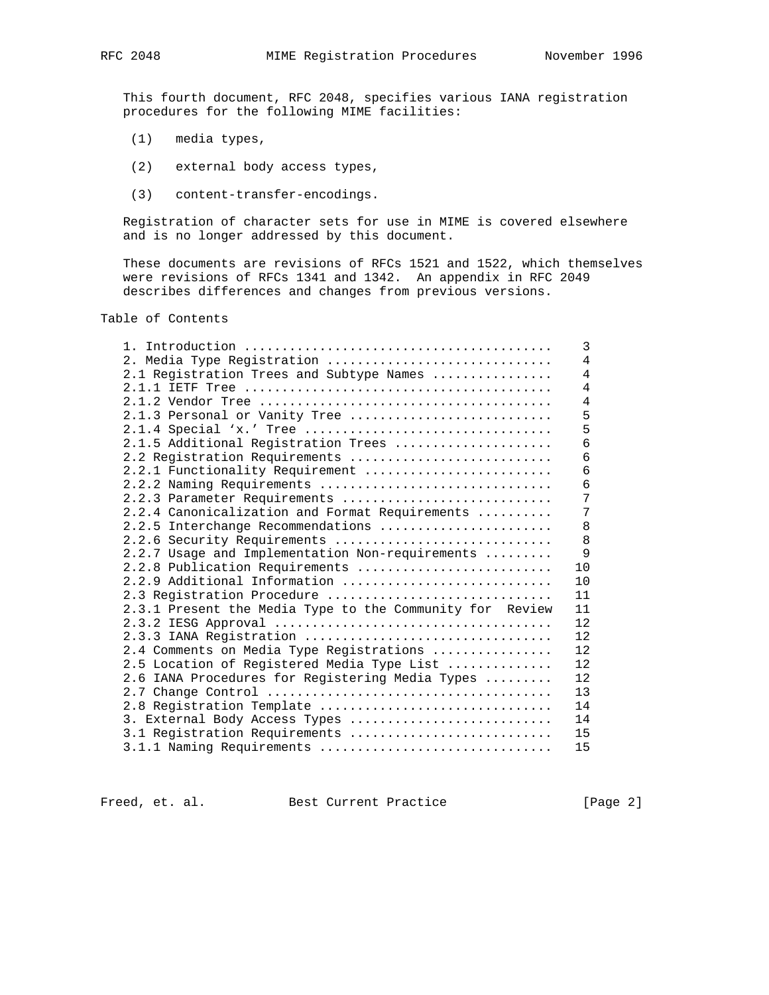This fourth document, RFC 2048, specifies various IANA registration procedures for the following MIME facilities:

- (1) media types,
- (2) external body access types,
- (3) content-transfer-encodings.

 Registration of character sets for use in MIME is covered elsewhere and is no longer addressed by this document.

 These documents are revisions of RFCs 1521 and 1522, which themselves were revisions of RFCs 1341 and 1342. An appendix in RFC 2049 describes differences and changes from previous versions.

Table of Contents

|                                                          | 3              |
|----------------------------------------------------------|----------------|
| 2. Media Type Registration                               | $\overline{4}$ |
| 2.1 Registration Trees and Subtype Names                 | $\overline{4}$ |
|                                                          | $\overline{4}$ |
|                                                          | $\overline{4}$ |
| 2.1.3 Personal or Vanity Tree                            | 5              |
|                                                          | 5              |
| 2.1.5 Additional Registration Trees                      | 6              |
| 2.2 Registration Requirements                            | 6              |
| 2.2.1 Functionality Requirement                          | 6              |
| 2.2.2 Naming Requirements                                | $\overline{6}$ |
| 2.2.3 Parameter Requirements                             | 7              |
| 2.2.4 Canonicalization and Format Requirements           | 7              |
| 2.2.5 Interchange Recommendations                        | 8              |
| 2.2.6 Security Requirements                              | 8              |
| 2.2.7 Usage and Implementation Non-requirements          | 9              |
| 2.2.8 Publication Requirements                           | 10             |
| $2.2.9$ Additional Information                           | 10             |
| 2.3 Registration Procedure                               | 11             |
| 2.3.1 Present the Media Type to the Community for Review | 11             |
|                                                          | 12             |
| 2.3.3 IANA Registration                                  | 12             |
| 2.4 Comments on Media Type Registrations                 | 12             |
| 2.5 Location of Registered Media Type List               | 12             |
| 2.6 IANA Procedures for Registering Media Types          | 12             |
|                                                          | 13             |
| 2.8 Registration Template                                | 14             |
| 3. External Body Access Types                            | 14             |
| 3.1 Registration Requirements                            | 15             |
| 3.1.1 Naming Requirements                                | 15             |

Freed, et. al. Best Current Practice [Page 2]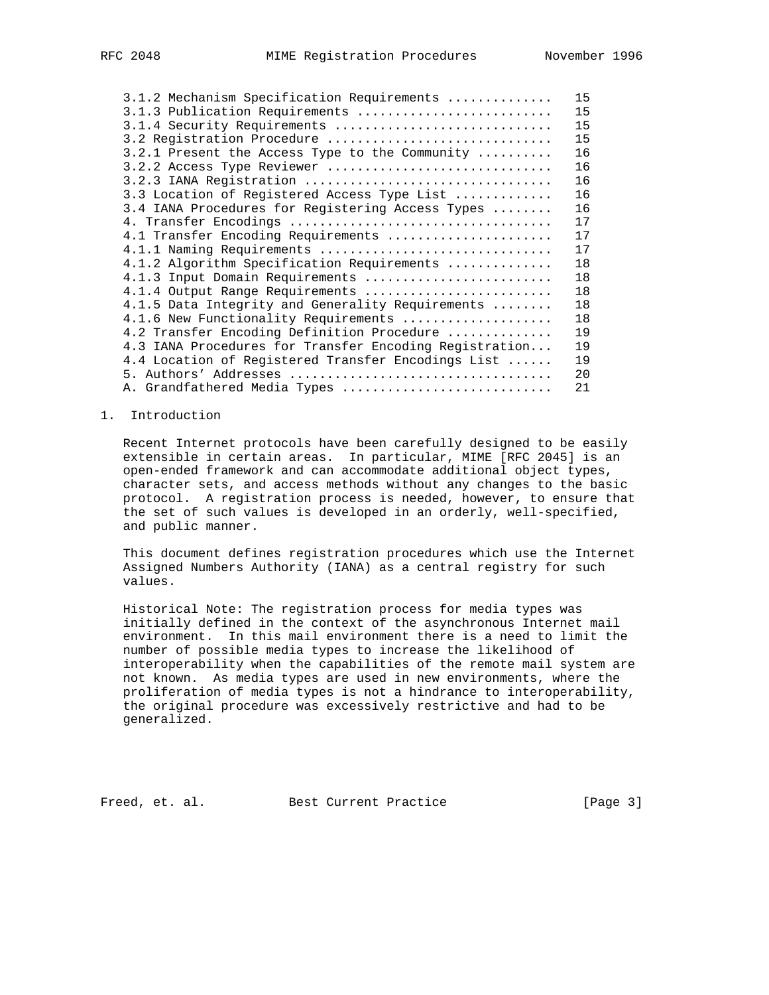| 3.1.2 Mechanism Specification Requirements             | 15 |
|--------------------------------------------------------|----|
| 3.1.3 Publication Requirements                         | 15 |
| 3.1.4 Security Requirements                            | 15 |
| 3.2 Registration Procedure                             | 15 |
| $3.2.1$ Present the Access Type to the Community       | 16 |
| 3.2.2 Access Type Reviewer                             | 16 |
| 3.2.3 IANA Registration                                | 16 |
| 3.3 Location of Registered Access Type List            | 16 |
| 3.4 IANA Procedures for Registering Access Types       | 16 |
|                                                        | 17 |
| 4.1 Transfer Encoding Requirements                     | 17 |
| 4.1.1 Naming Requirements                              | 17 |
| 4.1.2 Algorithm Specification Requirements             | 18 |
| 4.1.3 Input Domain Requirements                        | 18 |
| 4.1.4 Output Range Requirements                        | 18 |
| 4.1.5 Data Integrity and Generality Requirements       | 18 |
| 4.1.6 New Functionality Requirements                   | 18 |
| 4.2 Transfer Encoding Definition Procedure             | 19 |
| 4.3 IANA Procedures for Transfer Encoding Registration | 19 |
| 4.4 Location of Registered Transfer Encodings List     | 19 |
|                                                        | 20 |
| A. Grandfathered Media Types                           | 21 |

### 1. Introduction

 Recent Internet protocols have been carefully designed to be easily extensible in certain areas. In particular, MIME [RFC 2045] is an open-ended framework and can accommodate additional object types, character sets, and access methods without any changes to the basic protocol. A registration process is needed, however, to ensure that the set of such values is developed in an orderly, well-specified, and public manner.

 This document defines registration procedures which use the Internet Assigned Numbers Authority (IANA) as a central registry for such values.

 Historical Note: The registration process for media types was initially defined in the context of the asynchronous Internet mail environment. In this mail environment there is a need to limit the number of possible media types to increase the likelihood of interoperability when the capabilities of the remote mail system are not known. As media types are used in new environments, where the proliferation of media types is not a hindrance to interoperability, the original procedure was excessively restrictive and had to be generalized.

Freed, et. al. Best Current Practice [Page 3]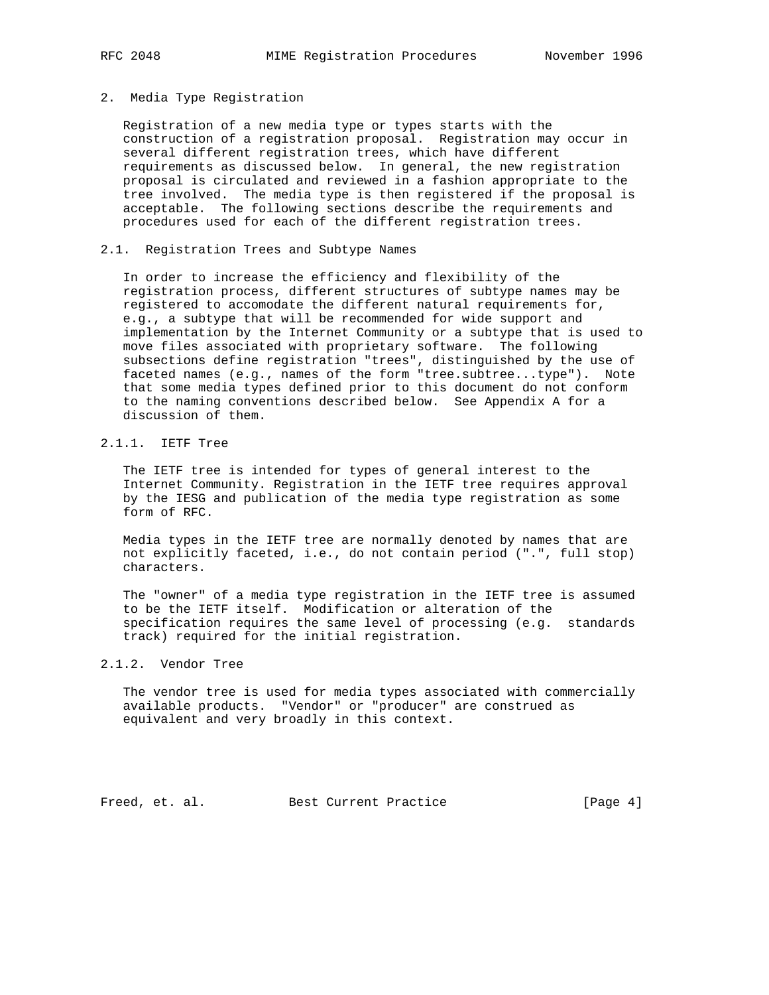### 2. Media Type Registration

 Registration of a new media type or types starts with the construction of a registration proposal. Registration may occur in several different registration trees, which have different requirements as discussed below. In general, the new registration proposal is circulated and reviewed in a fashion appropriate to the tree involved. The media type is then registered if the proposal is acceptable. The following sections describe the requirements and procedures used for each of the different registration trees.

### 2.1. Registration Trees and Subtype Names

 In order to increase the efficiency and flexibility of the registration process, different structures of subtype names may be registered to accomodate the different natural requirements for, e.g., a subtype that will be recommended for wide support and implementation by the Internet Community or a subtype that is used to move files associated with proprietary software. The following subsections define registration "trees", distinguished by the use of faceted names (e.g., names of the form "tree.subtree...type"). Note that some media types defined prior to this document do not conform to the naming conventions described below. See Appendix A for a discussion of them.

# 2.1.1. IETF Tree

 The IETF tree is intended for types of general interest to the Internet Community. Registration in the IETF tree requires approval by the IESG and publication of the media type registration as some form of RFC.

 Media types in the IETF tree are normally denoted by names that are not explicitly faceted, i.e., do not contain period (".", full stop) characters.

 The "owner" of a media type registration in the IETF tree is assumed to be the IETF itself. Modification or alteration of the specification requires the same level of processing (e.g. standards track) required for the initial registration.

### 2.1.2. Vendor Tree

 The vendor tree is used for media types associated with commercially available products. "Vendor" or "producer" are construed as equivalent and very broadly in this context.

Freed, et. al. Best Current Practice [Page 4]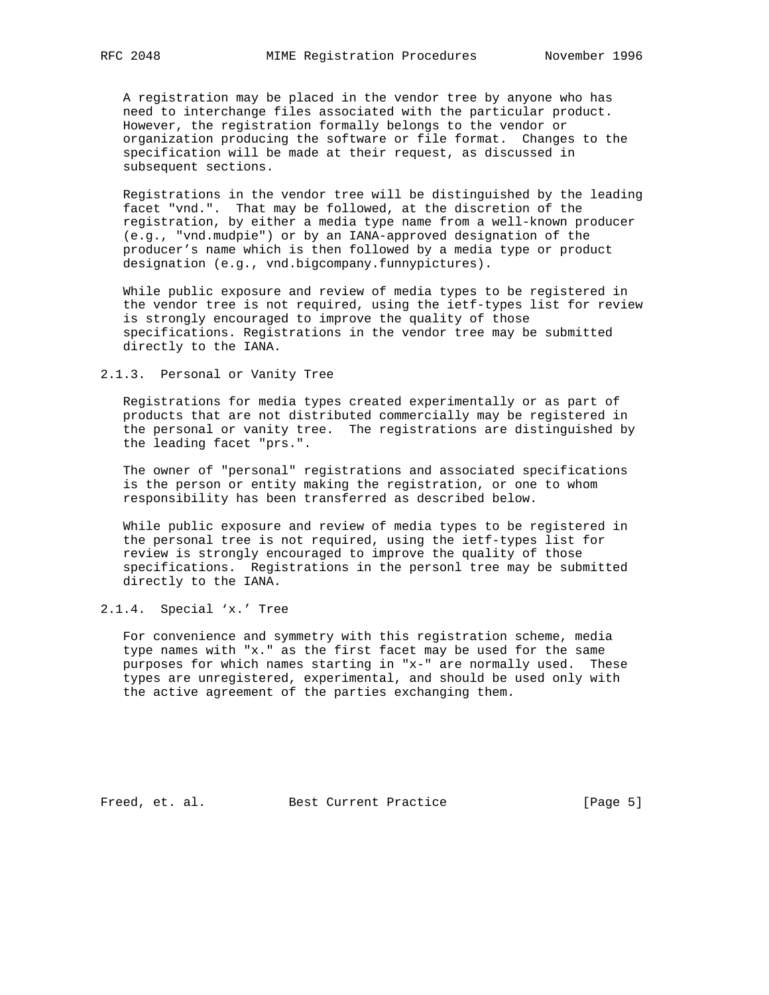A registration may be placed in the vendor tree by anyone who has need to interchange files associated with the particular product. However, the registration formally belongs to the vendor or organization producing the software or file format. Changes to the specification will be made at their request, as discussed in subsequent sections.

 Registrations in the vendor tree will be distinguished by the leading facet "vnd.". That may be followed, at the discretion of the registration, by either a media type name from a well-known producer (e.g., "vnd.mudpie") or by an IANA-approved designation of the producer's name which is then followed by a media type or product designation (e.g., vnd.bigcompany.funnypictures).

 While public exposure and review of media types to be registered in the vendor tree is not required, using the ietf-types list for review is strongly encouraged to improve the quality of those specifications. Registrations in the vendor tree may be submitted directly to the IANA.

### 2.1.3. Personal or Vanity Tree

 Registrations for media types created experimentally or as part of products that are not distributed commercially may be registered in the personal or vanity tree. The registrations are distinguished by the leading facet "prs.".

 The owner of "personal" registrations and associated specifications is the person or entity making the registration, or one to whom responsibility has been transferred as described below.

 While public exposure and review of media types to be registered in the personal tree is not required, using the ietf-types list for review is strongly encouraged to improve the quality of those specifications. Registrations in the personl tree may be submitted directly to the IANA.

# 2.1.4. Special 'x.' Tree

 For convenience and symmetry with this registration scheme, media type names with "x." as the first facet may be used for the same purposes for which names starting in "x-" are normally used. These types are unregistered, experimental, and should be used only with the active agreement of the parties exchanging them.

Freed, et. al. Best Current Practice [Page 5]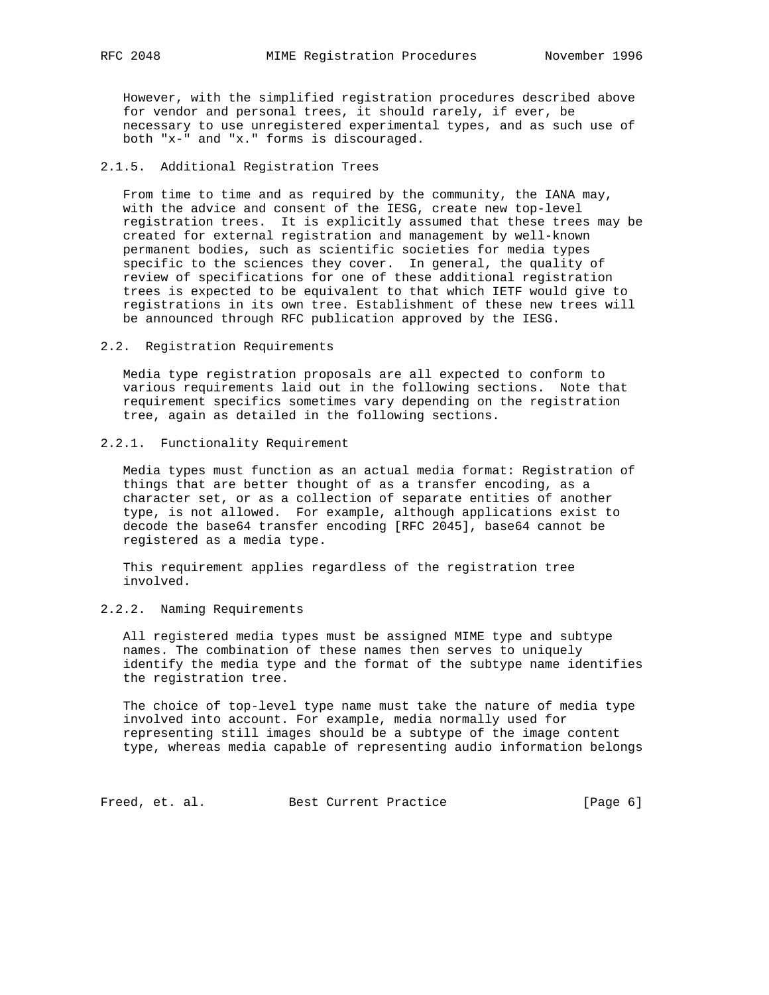However, with the simplified registration procedures described above for vendor and personal trees, it should rarely, if ever, be necessary to use unregistered experimental types, and as such use of both "x-" and "x." forms is discouraged.

### 2.1.5. Additional Registration Trees

 From time to time and as required by the community, the IANA may, with the advice and consent of the IESG, create new top-level registration trees. It is explicitly assumed that these trees may be created for external registration and management by well-known permanent bodies, such as scientific societies for media types specific to the sciences they cover. In general, the quality of review of specifications for one of these additional registration trees is expected to be equivalent to that which IETF would give to registrations in its own tree. Establishment of these new trees will be announced through RFC publication approved by the IESG.

### 2.2. Registration Requirements

 Media type registration proposals are all expected to conform to various requirements laid out in the following sections. Note that requirement specifics sometimes vary depending on the registration tree, again as detailed in the following sections.

### 2.2.1. Functionality Requirement

 Media types must function as an actual media format: Registration of things that are better thought of as a transfer encoding, as a character set, or as a collection of separate entities of another type, is not allowed. For example, although applications exist to decode the base64 transfer encoding [RFC 2045], base64 cannot be registered as a media type.

 This requirement applies regardless of the registration tree involved.

# 2.2.2. Naming Requirements

 All registered media types must be assigned MIME type and subtype names. The combination of these names then serves to uniquely identify the media type and the format of the subtype name identifies the registration tree.

 The choice of top-level type name must take the nature of media type involved into account. For example, media normally used for representing still images should be a subtype of the image content type, whereas media capable of representing audio information belongs

Freed, et. al. Best Current Practice [Page 6]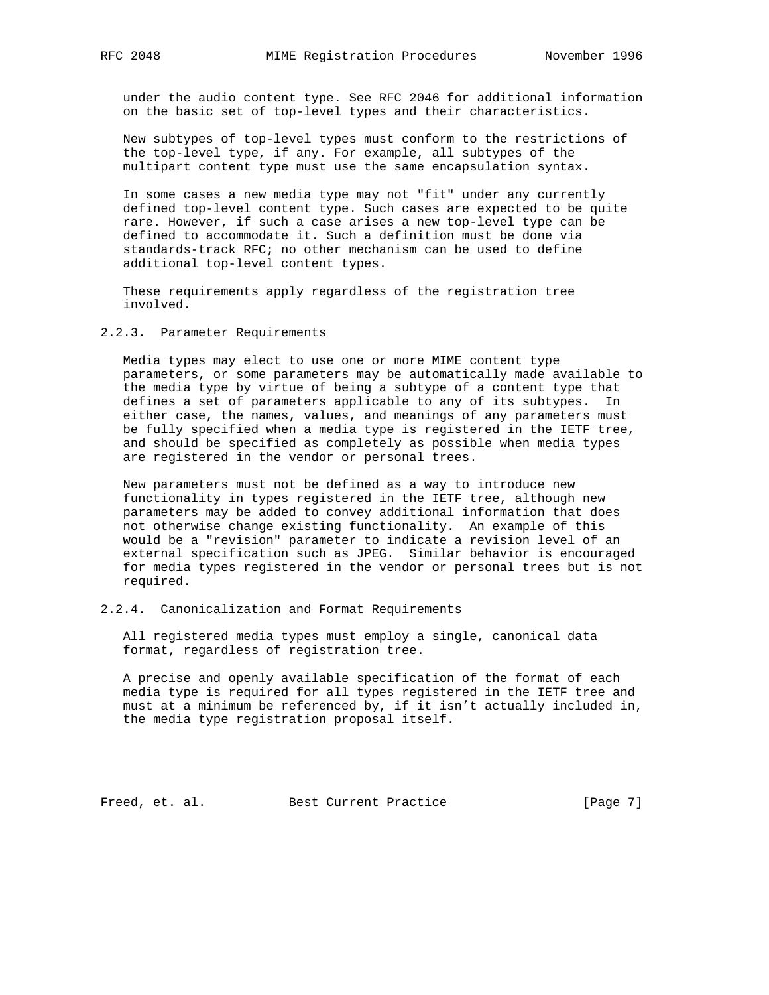under the audio content type. See RFC 2046 for additional information on the basic set of top-level types and their characteristics.

 New subtypes of top-level types must conform to the restrictions of the top-level type, if any. For example, all subtypes of the multipart content type must use the same encapsulation syntax.

 In some cases a new media type may not "fit" under any currently defined top-level content type. Such cases are expected to be quite rare. However, if such a case arises a new top-level type can be defined to accommodate it. Such a definition must be done via standards-track RFC; no other mechanism can be used to define additional top-level content types.

 These requirements apply regardless of the registration tree involved.

2.2.3. Parameter Requirements

 Media types may elect to use one or more MIME content type parameters, or some parameters may be automatically made available to the media type by virtue of being a subtype of a content type that defines a set of parameters applicable to any of its subtypes. In either case, the names, values, and meanings of any parameters must be fully specified when a media type is registered in the IETF tree, and should be specified as completely as possible when media types are registered in the vendor or personal trees.

 New parameters must not be defined as a way to introduce new functionality in types registered in the IETF tree, although new parameters may be added to convey additional information that does not otherwise change existing functionality. An example of this would be a "revision" parameter to indicate a revision level of an external specification such as JPEG. Similar behavior is encouraged for media types registered in the vendor or personal trees but is not required.

2.2.4. Canonicalization and Format Requirements

 All registered media types must employ a single, canonical data format, regardless of registration tree.

 A precise and openly available specification of the format of each media type is required for all types registered in the IETF tree and must at a minimum be referenced by, if it isn't actually included in, the media type registration proposal itself.

Freed, et. al. Best Current Practice [Page 7]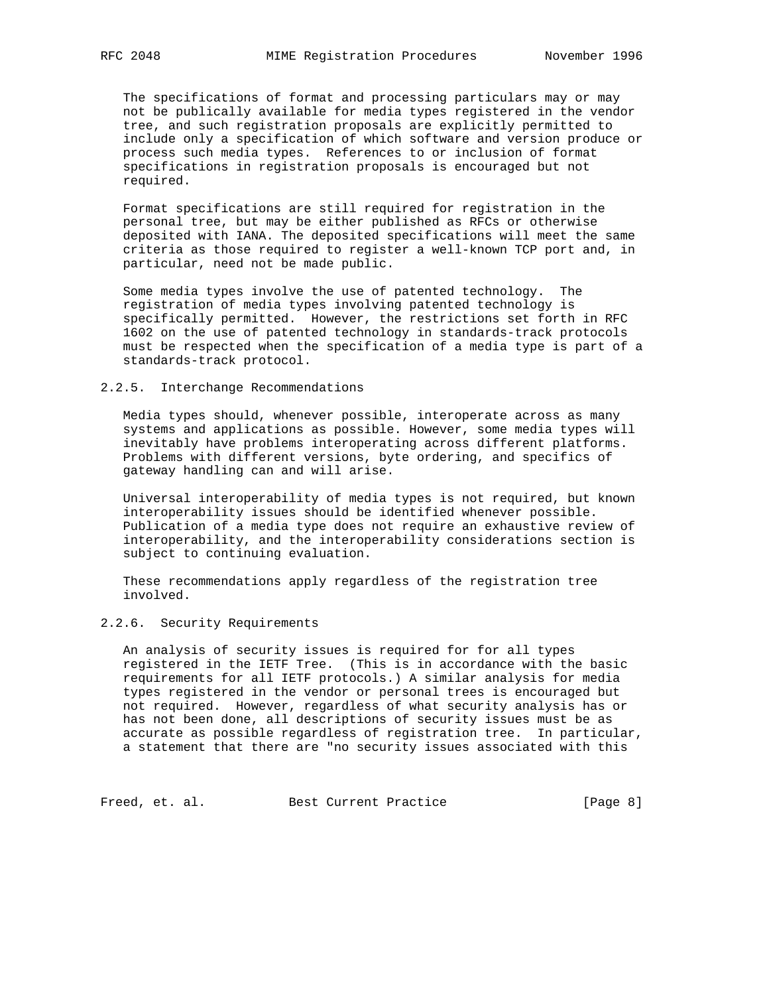The specifications of format and processing particulars may or may not be publically available for media types registered in the vendor tree, and such registration proposals are explicitly permitted to include only a specification of which software and version produce or process such media types. References to or inclusion of format specifications in registration proposals is encouraged but not required.

 Format specifications are still required for registration in the personal tree, but may be either published as RFCs or otherwise deposited with IANA. The deposited specifications will meet the same criteria as those required to register a well-known TCP port and, in particular, need not be made public.

 Some media types involve the use of patented technology. The registration of media types involving patented technology is specifically permitted. However, the restrictions set forth in RFC 1602 on the use of patented technology in standards-track protocols must be respected when the specification of a media type is part of a standards-track protocol.

### 2.2.5. Interchange Recommendations

 Media types should, whenever possible, interoperate across as many systems and applications as possible. However, some media types will inevitably have problems interoperating across different platforms. Problems with different versions, byte ordering, and specifics of gateway handling can and will arise.

 Universal interoperability of media types is not required, but known interoperability issues should be identified whenever possible. Publication of a media type does not require an exhaustive review of interoperability, and the interoperability considerations section is subject to continuing evaluation.

 These recommendations apply regardless of the registration tree involved.

## 2.2.6. Security Requirements

 An analysis of security issues is required for for all types registered in the IETF Tree. (This is in accordance with the basic requirements for all IETF protocols.) A similar analysis for media types registered in the vendor or personal trees is encouraged but not required. However, regardless of what security analysis has or has not been done, all descriptions of security issues must be as accurate as possible regardless of registration tree. In particular, a statement that there are "no security issues associated with this

Freed, et. al. Best Current Practice [Page 8]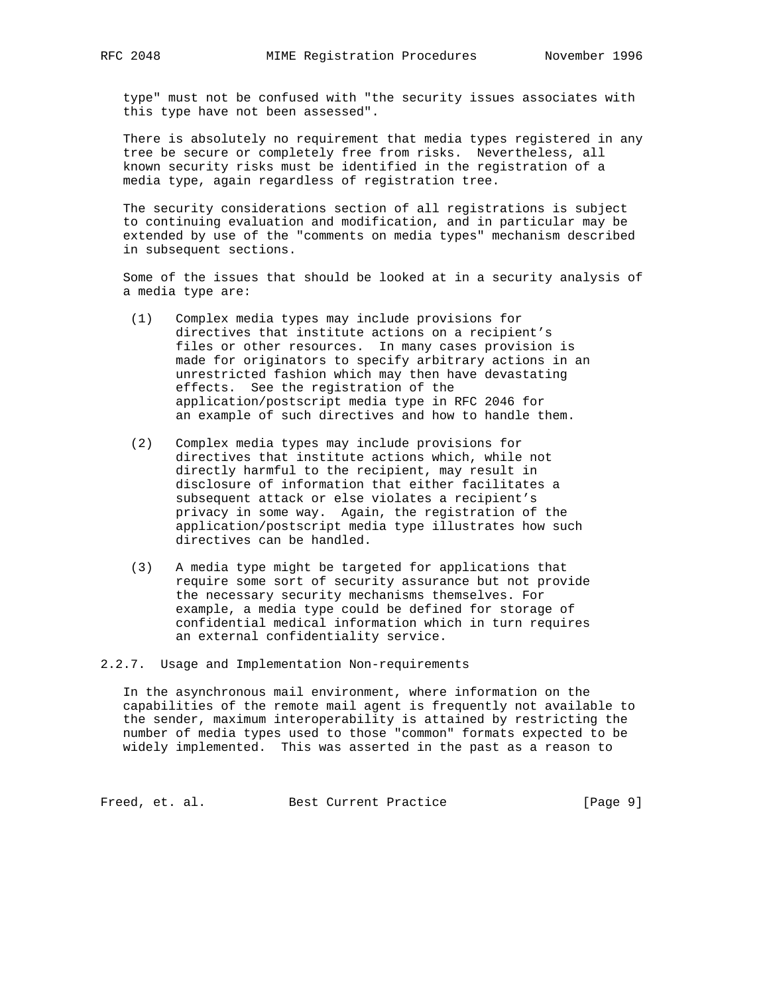type" must not be confused with "the security issues associates with this type have not been assessed".

 There is absolutely no requirement that media types registered in any tree be secure or completely free from risks. Nevertheless, all known security risks must be identified in the registration of a media type, again regardless of registration tree.

 The security considerations section of all registrations is subject to continuing evaluation and modification, and in particular may be extended by use of the "comments on media types" mechanism described in subsequent sections.

 Some of the issues that should be looked at in a security analysis of a media type are:

- (1) Complex media types may include provisions for directives that institute actions on a recipient's files or other resources. In many cases provision is made for originators to specify arbitrary actions in an unrestricted fashion which may then have devastating effects. See the registration of the application/postscript media type in RFC 2046 for an example of such directives and how to handle them.
- (2) Complex media types may include provisions for directives that institute actions which, while not directly harmful to the recipient, may result in disclosure of information that either facilitates a subsequent attack or else violates a recipient's privacy in some way. Again, the registration of the application/postscript media type illustrates how such directives can be handled.
- (3) A media type might be targeted for applications that require some sort of security assurance but not provide the necessary security mechanisms themselves. For example, a media type could be defined for storage of confidential medical information which in turn requires an external confidentiality service.

2.2.7. Usage and Implementation Non-requirements

 In the asynchronous mail environment, where information on the capabilities of the remote mail agent is frequently not available to the sender, maximum interoperability is attained by restricting the number of media types used to those "common" formats expected to be widely implemented. This was asserted in the past as a reason to

Freed, et. al. Best Current Practice [Page 9]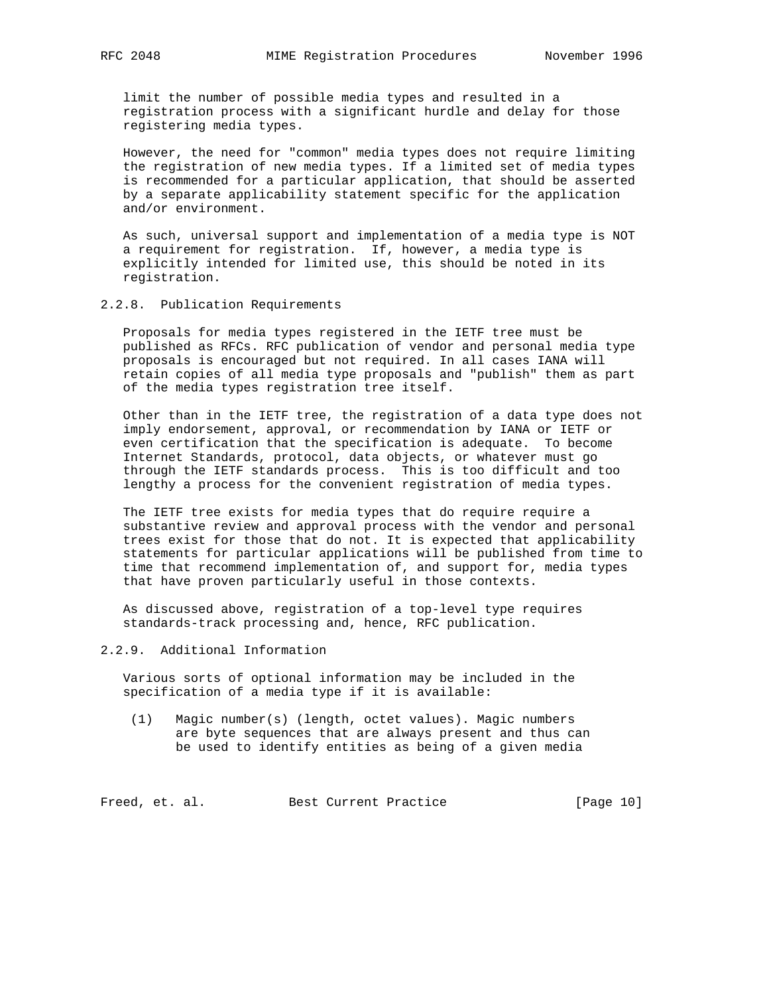limit the number of possible media types and resulted in a registration process with a significant hurdle and delay for those registering media types.

 However, the need for "common" media types does not require limiting the registration of new media types. If a limited set of media types is recommended for a particular application, that should be asserted by a separate applicability statement specific for the application and/or environment.

 As such, universal support and implementation of a media type is NOT a requirement for registration. If, however, a media type is explicitly intended for limited use, this should be noted in its registration.

### 2.2.8. Publication Requirements

 Proposals for media types registered in the IETF tree must be published as RFCs. RFC publication of vendor and personal media type proposals is encouraged but not required. In all cases IANA will retain copies of all media type proposals and "publish" them as part of the media types registration tree itself.

 Other than in the IETF tree, the registration of a data type does not imply endorsement, approval, or recommendation by IANA or IETF or even certification that the specification is adequate. To become Internet Standards, protocol, data objects, or whatever must go through the IETF standards process. This is too difficult and too lengthy a process for the convenient registration of media types.

The IETF tree exists for media types that do require require a substantive review and approval process with the vendor and personal trees exist for those that do not. It is expected that applicability statements for particular applications will be published from time to time that recommend implementation of, and support for, media types that have proven particularly useful in those contexts.

 As discussed above, registration of a top-level type requires standards-track processing and, hence, RFC publication.

### 2.2.9. Additional Information

 Various sorts of optional information may be included in the specification of a media type if it is available:

 (1) Magic number(s) (length, octet values). Magic numbers are byte sequences that are always present and thus can be used to identify entities as being of a given media

Freed, et. al. Best Current Practice [Page 10]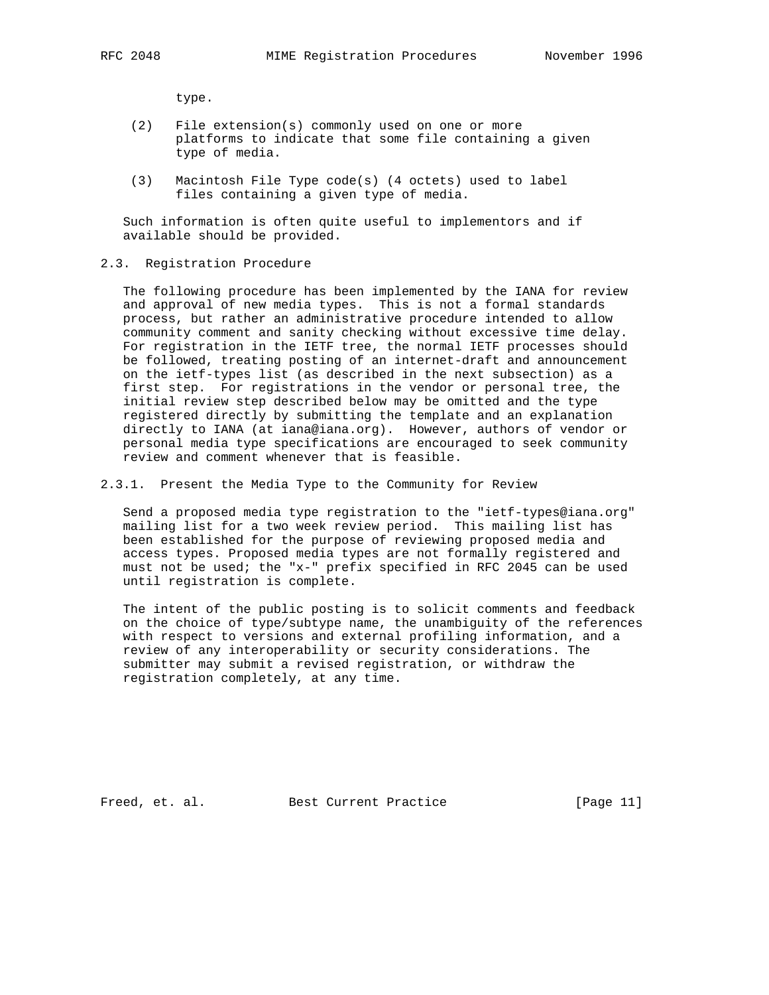type.

- (2) File extension(s) commonly used on one or more platforms to indicate that some file containing a given type of media.
- (3) Macintosh File Type code(s) (4 octets) used to label files containing a given type of media.

 Such information is often quite useful to implementors and if available should be provided.

2.3. Registration Procedure

 The following procedure has been implemented by the IANA for review and approval of new media types. This is not a formal standards process, but rather an administrative procedure intended to allow community comment and sanity checking without excessive time delay. For registration in the IETF tree, the normal IETF processes should be followed, treating posting of an internet-draft and announcement on the ietf-types list (as described in the next subsection) as a first step. For registrations in the vendor or personal tree, the initial review step described below may be omitted and the type registered directly by submitting the template and an explanation directly to IANA (at iana@iana.org). However, authors of vendor or personal media type specifications are encouraged to seek community review and comment whenever that is feasible.

2.3.1. Present the Media Type to the Community for Review

 Send a proposed media type registration to the "ietf-types@iana.org" mailing list for a two week review period. This mailing list has been established for the purpose of reviewing proposed media and access types. Proposed media types are not formally registered and must not be used; the "x-" prefix specified in RFC 2045 can be used until registration is complete.

 The intent of the public posting is to solicit comments and feedback on the choice of type/subtype name, the unambiguity of the references with respect to versions and external profiling information, and a review of any interoperability or security considerations. The submitter may submit a revised registration, or withdraw the registration completely, at any time.

Freed, et. al. Best Current Practice [Page 11]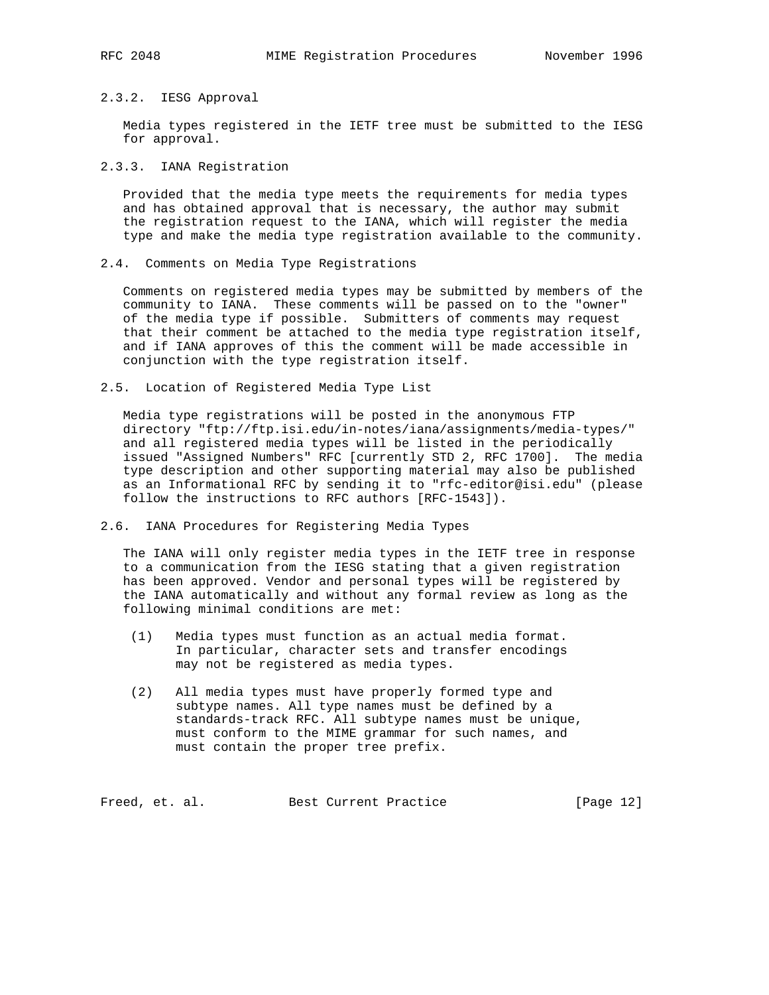# 2.3.2. IESG Approval

 Media types registered in the IETF tree must be submitted to the IESG for approval.

2.3.3. IANA Registration

 Provided that the media type meets the requirements for media types and has obtained approval that is necessary, the author may submit the registration request to the IANA, which will register the media type and make the media type registration available to the community.

2.4. Comments on Media Type Registrations

 Comments on registered media types may be submitted by members of the community to IANA. These comments will be passed on to the "owner" of the media type if possible. Submitters of comments may request that their comment be attached to the media type registration itself, and if IANA approves of this the comment will be made accessible in conjunction with the type registration itself.

2.5. Location of Registered Media Type List

 Media type registrations will be posted in the anonymous FTP directory "ftp://ftp.isi.edu/in-notes/iana/assignments/media-types/" and all registered media types will be listed in the periodically issued "Assigned Numbers" RFC [currently STD 2, RFC 1700]. The media type description and other supporting material may also be published as an Informational RFC by sending it to "rfc-editor@isi.edu" (please follow the instructions to RFC authors [RFC-1543]).

2.6. IANA Procedures for Registering Media Types

 The IANA will only register media types in the IETF tree in response to a communication from the IESG stating that a given registration has been approved. Vendor and personal types will be registered by the IANA automatically and without any formal review as long as the following minimal conditions are met:

- (1) Media types must function as an actual media format. In particular, character sets and transfer encodings may not be registered as media types.
- (2) All media types must have properly formed type and subtype names. All type names must be defined by a standards-track RFC. All subtype names must be unique, must conform to the MIME grammar for such names, and must contain the proper tree prefix.

Freed, et. al. Best Current Practice [Page 12]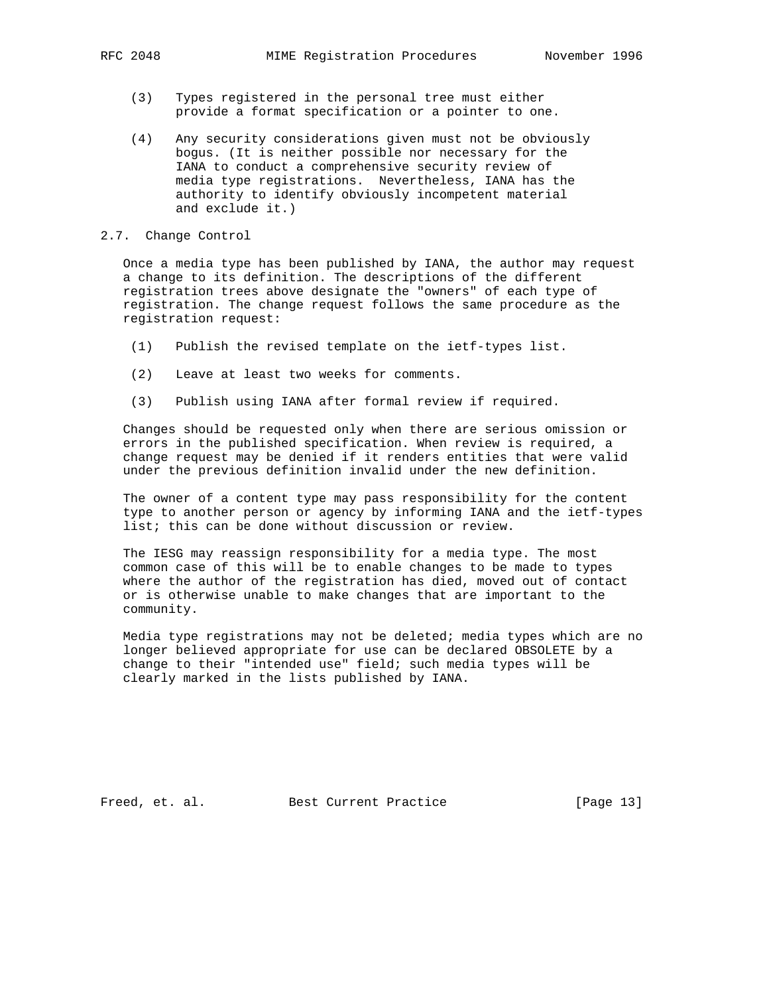- - (3) Types registered in the personal tree must either provide a format specification or a pointer to one.
	- (4) Any security considerations given must not be obviously bogus. (It is neither possible nor necessary for the IANA to conduct a comprehensive security review of media type registrations. Nevertheless, IANA has the authority to identify obviously incompetent material and exclude it.)
- 2.7. Change Control

 Once a media type has been published by IANA, the author may request a change to its definition. The descriptions of the different registration trees above designate the "owners" of each type of registration. The change request follows the same procedure as the registration request:

- (1) Publish the revised template on the ietf-types list.
- (2) Leave at least two weeks for comments.
- (3) Publish using IANA after formal review if required.

 Changes should be requested only when there are serious omission or errors in the published specification. When review is required, a change request may be denied if it renders entities that were valid under the previous definition invalid under the new definition.

 The owner of a content type may pass responsibility for the content type to another person or agency by informing IANA and the ietf-types list; this can be done without discussion or review.

 The IESG may reassign responsibility for a media type. The most common case of this will be to enable changes to be made to types where the author of the registration has died, moved out of contact or is otherwise unable to make changes that are important to the community.

 Media type registrations may not be deleted; media types which are no longer believed appropriate for use can be declared OBSOLETE by a change to their "intended use" field; such media types will be clearly marked in the lists published by IANA.

Freed, et. al. Best Current Practice [Page 13]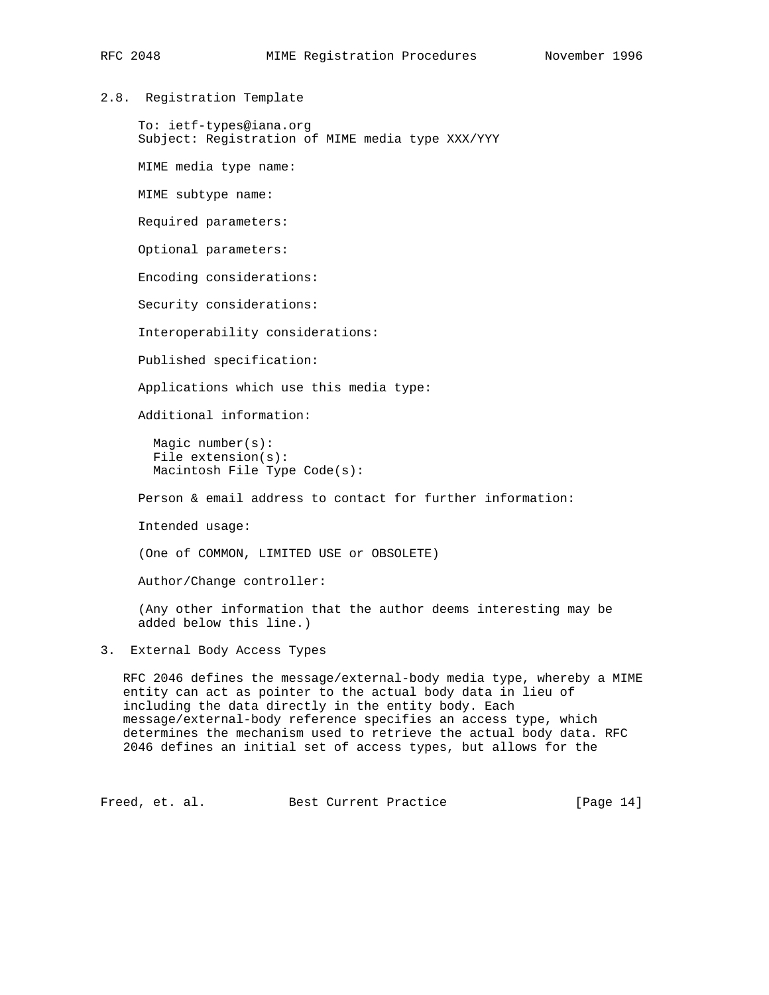# 2.8. Registration Template

 To: ietf-types@iana.org Subject: Registration of MIME media type XXX/YYY

MIME media type name:

MIME subtype name:

Required parameters:

Optional parameters:

Encoding considerations:

Security considerations:

Interoperability considerations:

Published specification:

Applications which use this media type:

Additional information:

 Magic number(s): File extension(s): Macintosh File Type Code(s):

Person & email address to contact for further information:

Intended usage:

(One of COMMON, LIMITED USE or OBSOLETE)

Author/Change controller:

 (Any other information that the author deems interesting may be added below this line.)

3. External Body Access Types

 RFC 2046 defines the message/external-body media type, whereby a MIME entity can act as pointer to the actual body data in lieu of including the data directly in the entity body. Each message/external-body reference specifies an access type, which determines the mechanism used to retrieve the actual body data. RFC 2046 defines an initial set of access types, but allows for the

Freed, et. al. Best Current Practice [Page 14]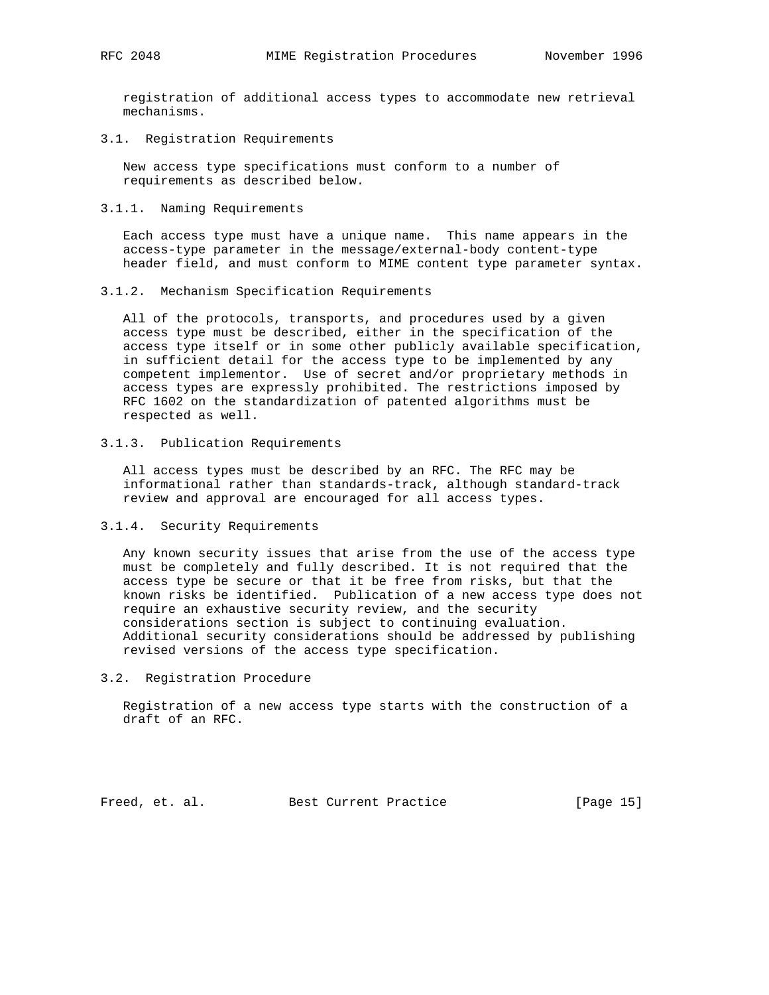registration of additional access types to accommodate new retrieval mechanisms.

3.1. Registration Requirements

 New access type specifications must conform to a number of requirements as described below.

3.1.1. Naming Requirements

 Each access type must have a unique name. This name appears in the access-type parameter in the message/external-body content-type header field, and must conform to MIME content type parameter syntax.

3.1.2. Mechanism Specification Requirements

 All of the protocols, transports, and procedures used by a given access type must be described, either in the specification of the access type itself or in some other publicly available specification, in sufficient detail for the access type to be implemented by any competent implementor. Use of secret and/or proprietary methods in access types are expressly prohibited. The restrictions imposed by RFC 1602 on the standardization of patented algorithms must be respected as well.

3.1.3. Publication Requirements

 All access types must be described by an RFC. The RFC may be informational rather than standards-track, although standard-track review and approval are encouraged for all access types.

3.1.4. Security Requirements

 Any known security issues that arise from the use of the access type must be completely and fully described. It is not required that the access type be secure or that it be free from risks, but that the known risks be identified. Publication of a new access type does not require an exhaustive security review, and the security considerations section is subject to continuing evaluation. Additional security considerations should be addressed by publishing revised versions of the access type specification.

3.2. Registration Procedure

 Registration of a new access type starts with the construction of a draft of an RFC.

Freed, et. al. Best Current Practice [Page 15]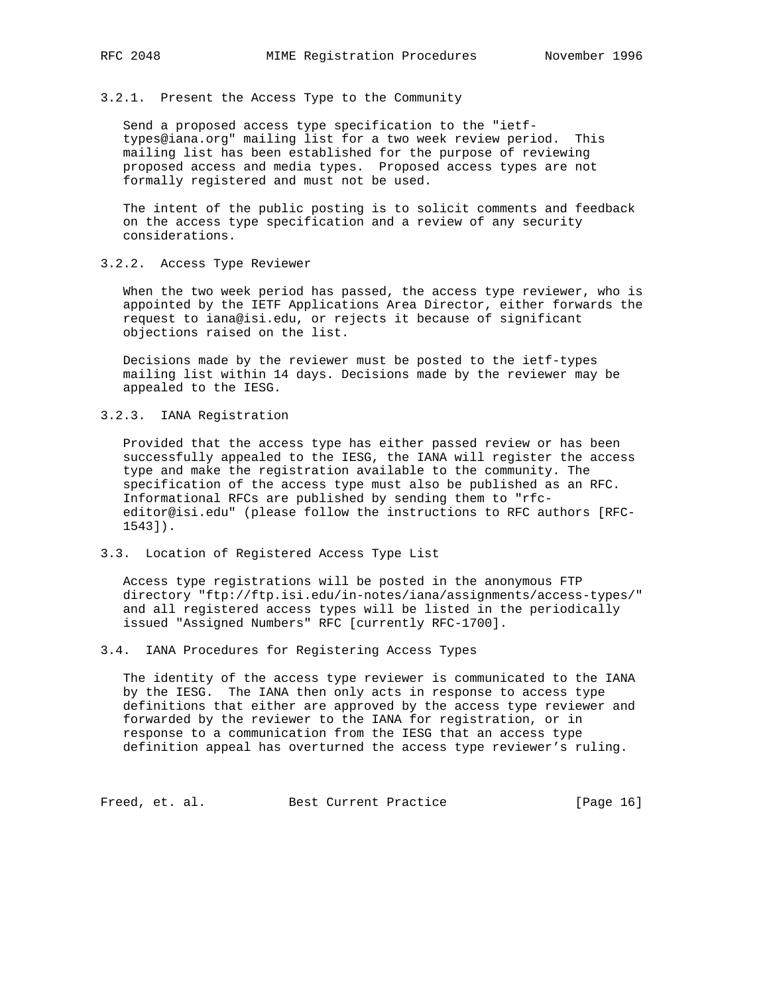3.2.1. Present the Access Type to the Community

 Send a proposed access type specification to the "ietf types@iana.org" mailing list for a two week review period. This mailing list has been established for the purpose of reviewing proposed access and media types. Proposed access types are not formally registered and must not be used.

 The intent of the public posting is to solicit comments and feedback on the access type specification and a review of any security considerations.

# 3.2.2. Access Type Reviewer

 When the two week period has passed, the access type reviewer, who is appointed by the IETF Applications Area Director, either forwards the request to iana@isi.edu, or rejects it because of significant objections raised on the list.

 Decisions made by the reviewer must be posted to the ietf-types mailing list within 14 days. Decisions made by the reviewer may be appealed to the IESG.

### 3.2.3. IANA Registration

 Provided that the access type has either passed review or has been successfully appealed to the IESG, the IANA will register the access type and make the registration available to the community. The specification of the access type must also be published as an RFC. Informational RFCs are published by sending them to "rfc editor@isi.edu" (please follow the instructions to RFC authors [RFC- 1543]).

### 3.3. Location of Registered Access Type List

 Access type registrations will be posted in the anonymous FTP directory "ftp://ftp.isi.edu/in-notes/iana/assignments/access-types/" and all registered access types will be listed in the periodically issued "Assigned Numbers" RFC [currently RFC-1700].

3.4. IANA Procedures for Registering Access Types

 The identity of the access type reviewer is communicated to the IANA by the IESG. The IANA then only acts in response to access type definitions that either are approved by the access type reviewer and forwarded by the reviewer to the IANA for registration, or in response to a communication from the IESG that an access type definition appeal has overturned the access type reviewer's ruling.

Freed, et. al. Best Current Practice [Page 16]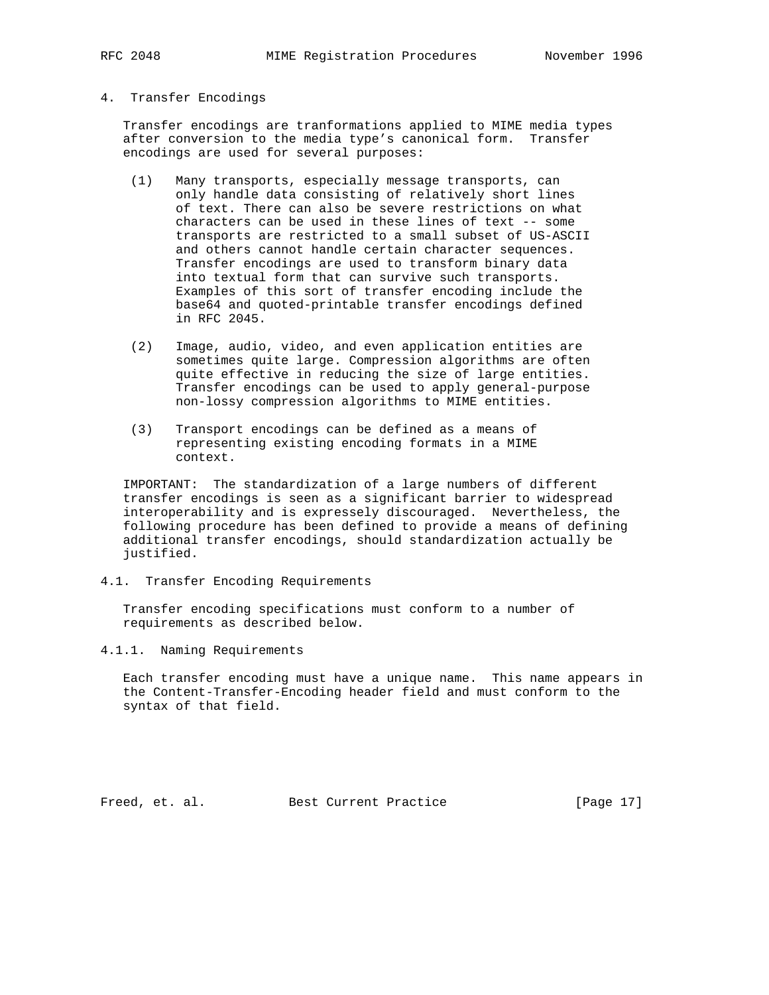## 4. Transfer Encodings

 Transfer encodings are tranformations applied to MIME media types after conversion to the media type's canonical form. Transfer encodings are used for several purposes:

- (1) Many transports, especially message transports, can only handle data consisting of relatively short lines of text. There can also be severe restrictions on what characters can be used in these lines of text -- some transports are restricted to a small subset of US-ASCII and others cannot handle certain character sequences. Transfer encodings are used to transform binary data into textual form that can survive such transports. Examples of this sort of transfer encoding include the base64 and quoted-printable transfer encodings defined in RFC 2045.
- (2) Image, audio, video, and even application entities are sometimes quite large. Compression algorithms are often quite effective in reducing the size of large entities. Transfer encodings can be used to apply general-purpose non-lossy compression algorithms to MIME entities.
- (3) Transport encodings can be defined as a means of representing existing encoding formats in a MIME context.

 IMPORTANT: The standardization of a large numbers of different transfer encodings is seen as a significant barrier to widespread interoperability and is expressely discouraged. Nevertheless, the following procedure has been defined to provide a means of defining additional transfer encodings, should standardization actually be justified.

4.1. Transfer Encoding Requirements

 Transfer encoding specifications must conform to a number of requirements as described below.

4.1.1. Naming Requirements

 Each transfer encoding must have a unique name. This name appears in the Content-Transfer-Encoding header field and must conform to the syntax of that field.

Freed, et. al. Best Current Practice [Page 17]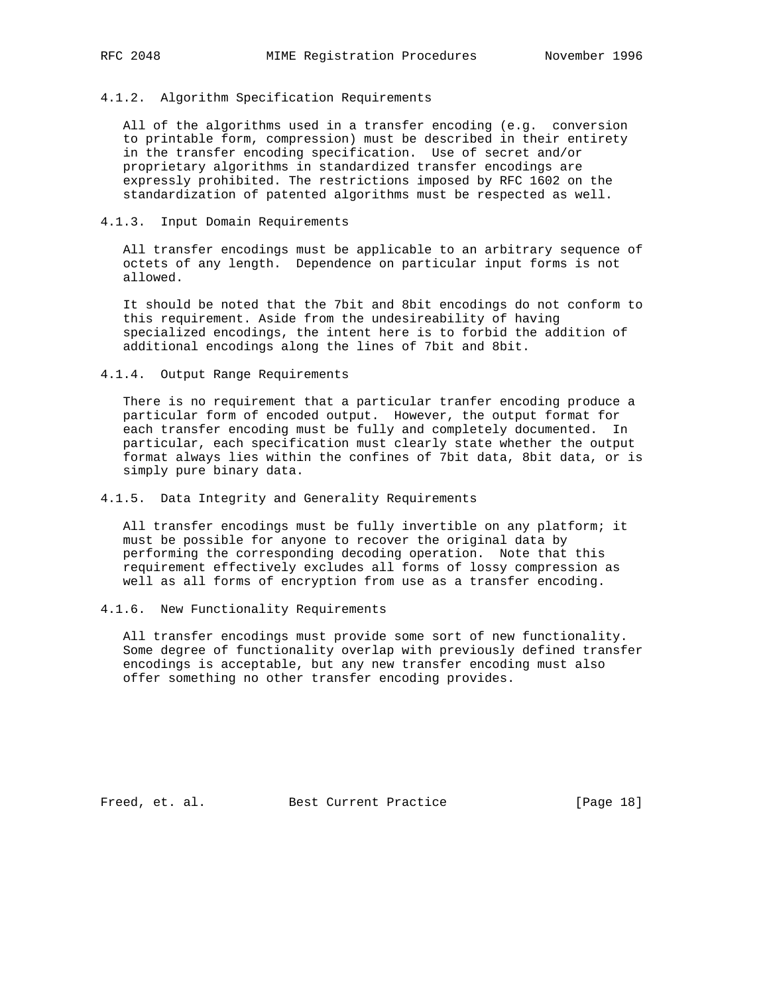### 4.1.2. Algorithm Specification Requirements

 All of the algorithms used in a transfer encoding (e.g. conversion to printable form, compression) must be described in their entirety in the transfer encoding specification. Use of secret and/or proprietary algorithms in standardized transfer encodings are expressly prohibited. The restrictions imposed by RFC 1602 on the standardization of patented algorithms must be respected as well.

## 4.1.3. Input Domain Requirements

 All transfer encodings must be applicable to an arbitrary sequence of octets of any length. Dependence on particular input forms is not allowed.

 It should be noted that the 7bit and 8bit encodings do not conform to this requirement. Aside from the undesireability of having specialized encodings, the intent here is to forbid the addition of additional encodings along the lines of 7bit and 8bit.

### 4.1.4. Output Range Requirements

 There is no requirement that a particular tranfer encoding produce a particular form of encoded output. However, the output format for each transfer encoding must be fully and completely documented. In particular, each specification must clearly state whether the output format always lies within the confines of 7bit data, 8bit data, or is simply pure binary data.

### 4.1.5. Data Integrity and Generality Requirements

 All transfer encodings must be fully invertible on any platform; it must be possible for anyone to recover the original data by performing the corresponding decoding operation. Note that this requirement effectively excludes all forms of lossy compression as well as all forms of encryption from use as a transfer encoding.

### 4.1.6. New Functionality Requirements

 All transfer encodings must provide some sort of new functionality. Some degree of functionality overlap with previously defined transfer encodings is acceptable, but any new transfer encoding must also offer something no other transfer encoding provides.

Freed, et. al. Best Current Practice [Page 18]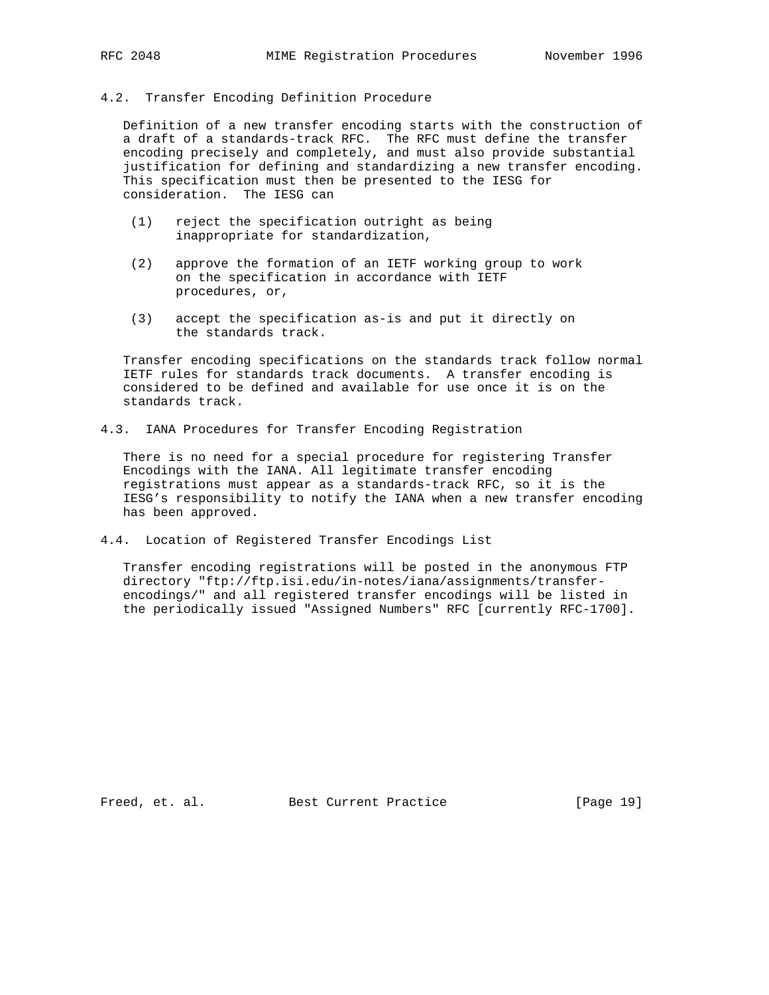## 4.2. Transfer Encoding Definition Procedure

 Definition of a new transfer encoding starts with the construction of a draft of a standards-track RFC. The RFC must define the transfer encoding precisely and completely, and must also provide substantial justification for defining and standardizing a new transfer encoding. This specification must then be presented to the IESG for consideration. The IESG can

- (1) reject the specification outright as being inappropriate for standardization,
- (2) approve the formation of an IETF working group to work on the specification in accordance with IETF procedures, or,
- (3) accept the specification as-is and put it directly on the standards track.

 Transfer encoding specifications on the standards track follow normal IETF rules for standards track documents. A transfer encoding is considered to be defined and available for use once it is on the standards track.

4.3. IANA Procedures for Transfer Encoding Registration

 There is no need for a special procedure for registering Transfer Encodings with the IANA. All legitimate transfer encoding registrations must appear as a standards-track RFC, so it is the IESG's responsibility to notify the IANA when a new transfer encoding has been approved.

4.4. Location of Registered Transfer Encodings List

 Transfer encoding registrations will be posted in the anonymous FTP directory "ftp://ftp.isi.edu/in-notes/iana/assignments/transfer encodings/" and all registered transfer encodings will be listed in the periodically issued "Assigned Numbers" RFC [currently RFC-1700].

Freed, et. al. Best Current Practice [Page 19]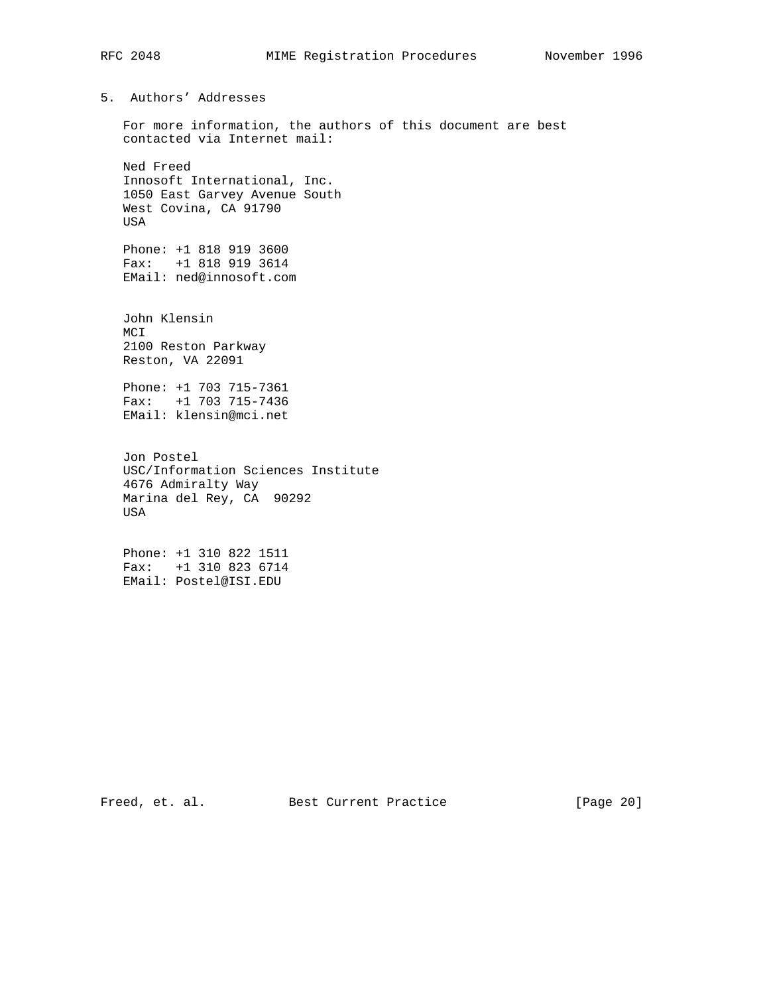5. Authors' Addresses

 For more information, the authors of this document are best contacted via Internet mail:

 Ned Freed Innosoft International, Inc. 1050 East Garvey Avenue South West Covina, CA 91790 USA

 Phone: +1 818 919 3600 Fax: +1 818 919 3614 EMail: ned@innosoft.com

 John Klensin MCI 2100 Reston Parkway Reston, VA 22091

 Phone: +1 703 715-7361 Fax: +1 703 715-7436 EMail: klensin@mci.net

 Jon Postel USC/Information Sciences Institute 4676 Admiralty Way Marina del Rey, CA 90292 USA

 Phone: +1 310 822 1511 Fax: +1 310 823 6714 EMail: Postel@ISI.EDU

Freed, et. al. Best Current Practice [Page 20]